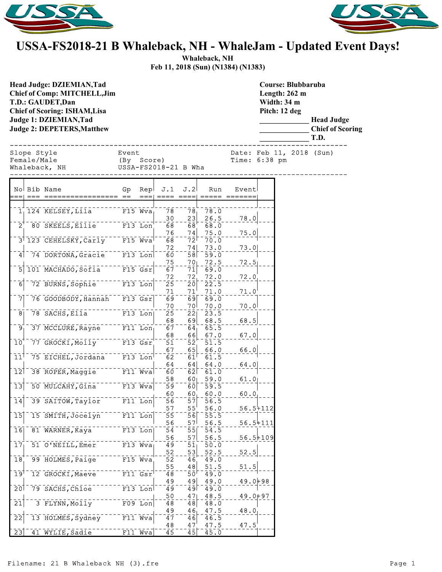



## **USSA-FS2018-21 B Whaleback, NH - WhaleJam - Updated Event Days!**

**Whaleback, NH Feb 11, 2018 (Sun) (N1384) (N1383)**

**Course: Blubbaruba**

**Head Judge: DZIEMIAN,Tad Chief of Comp: MITCHELL,Jim T.D.: GAUDET,Dan Chief of Scoring: ISHAM,Lisa Judge 1: DZIEMIAN,Tad Judge 2: DEPETERS,Matthew** 

**Length: 262 m Width: 34 m Pitch: 12 deg \_\_\_\_\_\_\_\_\_\_\_\_\_ Head Judge \_\_\_\_\_\_\_\_\_\_\_\_\_ Chief of Scoring \_\_\_\_\_\_\_\_\_\_\_\_\_ T.D.** ------------------------------------------------------------------------------ Slope Style **Event** Event Date: Feb 11, 2018 (Sun) Female/Male (By Score) Time: 6:38 pm Whaleback, NH USSA-FS2018-21 B Wha ------------------------------------------------------------------------------ No Bib Name Gp Rep J.1 J.2 Run Event === === ================= == === ==== ==== ===== =======  $1, 124$  KELSEY, Lila F15 Wva 78 78 78.0  $\frac{30}{68}$  - -  $\frac{23}{68}$  -  $\frac{26.5}{68.0}$  - - - 78.0 2 80 SKEELS, Ellie F13 Lon 76 \_ \_ 74 \_ 75.0 \_ \_ \_ 75.0 3 123 CEHELSKY, Carly F15 Wva 68 772 70.0  $\frac{72}{60}$   $- \frac{74}{58}$   $- \frac{73.0}{59.0}$   $\cdots$   $\frac{73.0}{59.5}$ 4 74 DORTONA, Gracie F13 Lon 60 58  $\left. \frac{75}{67} \right. - - \frac{70}{71} \left| - \frac{72.5}{69.0} \right. - - \frac{72.5}{71}$ 5 101 MACHADO, Sofia F15 Gsr  $72 \quad 72 \quad 72.0 \quad 72.0$ 6 72 BURNS, Sophie F13 Lon 25 20 22.5  $\frac{71}{69}$ --- $\frac{71}{69}$ - $\frac{71.0}{69.0}$ ---- $\frac{71.0}{7}$ 7 76 GOODBODY, Hannah F13 Gsr 69 69.0<br>70 70 70.0  $\frac{70}{25}$  - -  $\frac{70}{22}$  -  $\frac{70}{23}$  -  $\frac{0}{5}$  - - -  $\frac{70}{1}$ 8 78 SACHS, Ella F13 Lon 68 69 68.5 68.5  $9 - 37$  MCCLURE, Rayne F11 Lon  $67 - 64$ 68 66 67.0 67.0 10 77 GROCKI, Molly F13 Gsr, 51 52 51.5  $\frac{67}{62}$ --- $\frac{65}{61}$ - $\frac{66.0}{61.5}$ ----66.0  $11^{\dagger}$  75 EICHEL, Jordana F13 Lon<sup>-62</sup> 61 61.5  $64$   $64$   $64.0$   $64.0$ 12 38 ROPER, Maggie F11 Wva 60 62 61.0  $\frac{58}{59}$ --- $\frac{60}{60}$ | - $\frac{59.0}{59.5}$ ---- $\frac{61.0}{-}$ |  $13$  50 MULCAHY, Gina F13 Wva 59 60  $\begin{bmatrix} 60 & - & 60 \\ 56 & - & 57 \end{bmatrix}$   $\begin{bmatrix} 60.0 & - & 60.0 \\ 56.5 & - & 60.0 \end{bmatrix}$ 14 39 SAITOW, Taylor F11 Lon 56 57 56.5 57 55 56.0 56.5+112 15 15 SMITH, Jocelyn F11 Lon 55 56 56 55.5 56 - - 57<sup>|</sup> - 56.5 - - - 56.5<del>|</del>111<br>54 <sup>- - -</sup> 55| - 54.5 16 81 WARNER, Kaya<sup>-----</sup> F13 Lon 54 55 54.5  $\frac{56}{49}$ -- $\frac{57}{51}$ - $\frac{56.5}{50.0}$ --- $\frac{56.5+109}{1}$  $17$  51 O'NEILL, Emer F13 Wva  $\begin{array}{c|c|c|c|c|c} 52 & -53 & 52.5 & -52.5 \\ \hline 52 & -46 & 49.0 & & \end{array}$ 18 99 HOLMES, Paige F15 Wva 52 46 49.0 55 48 51.5 51.5 19<sup>1-</sup>12 GROCKI, Maeve F11 Gsr  $\frac{49}{49}$  - -  $\frac{49}{49}$  -  $\frac{49.0}{49.0}$  - - -  $\frac{49.0+98}{49.0}$ 20 79 SACHS, Chloe F13 Lon 49 - 49 49.0<br>1 50 47 48.5 - 50 47  $rac{50}{48}$  - -  $rac{47}{48}$  -  $rac{48.5}{48.0}$  - - -  $rac{49.0+97}{48}$  $21$  3 FLYNN, Molly F09 Lon 48  $-48$  $49 \t 46 \t 47.5 \t 48.0$  $22$  13 HOLMES, Sydney F11 Wva  $-47$   $-46$   $48$   $47$   $47.5$  $48 - 47 - 47.5 - 47.5$ <br> $45 - 45 - 45.0$ 

23 41 WYLIE, Sadie F11 Wva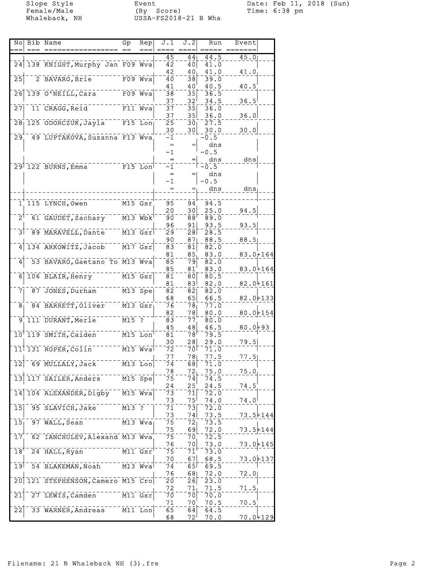Slope Style Event Event Date: Feb 11, 2018 (Sun)<br>
Female/Male (By Score) Time: 6:38 pm Female/Male (By Score) Time: 6:38 pm Whaleback, NH USSA-FS2018-21 B Wha

| 45<br>44<br>44.5<br>24 138 KNIGHT, Murphy Jan F09 Wva<br>$\bar{4}\bar{2}$<br>40 <br>41.0<br>42<br>40.<br>41.0                                             | $\overline{45.0}$<br>41.0<br>40.5 |
|-----------------------------------------------------------------------------------------------------------------------------------------------------------|-----------------------------------|
|                                                                                                                                                           |                                   |
|                                                                                                                                                           |                                   |
|                                                                                                                                                           |                                   |
| $\bar{2}\bar{5}$<br>$F09$ Wva<br>2 BAVARO, Brie<br>$\bar{3}\bar{8}$<br>40<br>39.0                                                                         |                                   |
| 40.5<br>41<br>40<br>139 O'NEILL, Cara<br>$F09$ Wva<br>$\bar{3}\bar{8}$<br>$\bar{3}\bar{5}$<br>26<br>36.5                                                  |                                   |
| 37<br>32 <sup>1</sup><br>34.5                                                                                                                             | $36.5^{\circ}$                    |
| 11 CRAGG, Reid<br>27<br>$F11$ Wva<br>$\overline{35}$<br>37<br>36.0                                                                                        |                                   |
| 35 <sup>2</sup><br>37<br>36.0                                                                                                                             | 36.0                              |
| 28 <sub>1</sub><br>125 ODORCZUK, Jayla<br>$F15$ Lon<br>25<br>27.5<br>30 <sub>1</sub>                                                                      |                                   |
| 30<br>30<br>30.0                                                                                                                                          | 30.0                              |
| 49 LUPTAKOVA, Suzanna F13 Wva<br>-0.5<br>29 <sub>1</sub><br>$-1$<br>dns<br>$=$                                                                            |                                   |
| $-0.5$<br>$-1$                                                                                                                                            |                                   |
| dns                                                                                                                                                       | $\frac{d}{ds}$                    |
| 29 122 BURNS, Emma<br>$F15$ Lon<br>$-1$<br>$-0.5$                                                                                                         |                                   |
| dns<br>$=$                                                                                                                                                |                                   |
| $-1$<br>$-0.5$                                                                                                                                            |                                   |
| dns                                                                                                                                                       | dns                               |
| 1 115 LYNCH, Owen<br>$M15$ $Gsr$<br>95<br>94<br>94.5                                                                                                      |                                   |
| 30<br>20<br>25.0                                                                                                                                          | 94.5                              |
| $\overline{2}$<br>61 GAUDET, Zachary<br>$M13$ $Wb$ $k$ <sup>1</sup><br>$\bar{8}$ $\bar{8}$ <sup><math>\bar{8}</math></sup><br>89.0<br>90                  |                                   |
| 96<br>91<br>93.5                                                                                                                                          | 93.5                              |
| $M13$ $Gsr$<br>31<br>89 MARAVELL, Dante<br>28<br>29<br>28.5                                                                                               |                                   |
| 90<br>87 <sub>1</sub><br>88.5<br>134 ARKOWITZ, Jacob<br>$\overline{M17}$ Gsr<br>$\overline{83}$<br>81<br>82.0<br>4                                        | 88.5                              |
| 81<br>85.<br>83.0                                                                                                                                         | $83.0 + 164$                      |
| 53 BAVARO, Gaetano To M13 Wva<br>$\bar{\mathbf{8}}\bar{\mathbf{5}}$<br>$\bar{7}\bar{9}$<br>82.0<br>4                                                      |                                   |
| 85<br>81<br>83.0                                                                                                                                          | 83.0+164                          |
| $ \bar{80} $<br>106 BLAIR, Henry<br>$M15$ $Gsr$<br>81<br>80.5<br>61                                                                                       |                                   |
| 831<br>82.0<br>81<br>$\sqrt{M13}$ Spe<br>87 JONES, Durham<br>82<br>82<br>71<br>82.0                                                                       | $82.0 + 161$                      |
| 68<br>65<br>66.5                                                                                                                                          | $82.0 + 133$                      |
| 84 BARRETT, Oliver<br>$M13$ $Gsr$<br>$\overline{7}\overline{6}$<br>77.0<br>8 <sub>1</sub><br>78 <sub>1</sub>                                              |                                   |
| 82<br>78<br>80.0                                                                                                                                          | $80.0 + 154$                      |
| 111 DURANT, Merle<br>$M15$ ?<br>$\overline{9}$<br>83<br>77<br>80.0                                                                                        |                                   |
| 48<br>45<br>46.5<br>10 119 SMITH, Caiden<br>$M15$ Lon<br>78⊺<br>79.5<br>81                                                                                | $80.0 + 93$                       |
| 30<br>28<br>29.0                                                                                                                                          | 79.5                              |
| $M15$ $Wva$<br>11 131 ROPER, Colin<br>72<br>71.0<br>7 O I                                                                                                 |                                   |
| 77<br>781<br>77.5                                                                                                                                         | 77.5                              |
| $12$ <sup>-69</sup> MULLALY, Jack <sup>-1</sup><br>$M13$ Lon<br>Ī4<br>$\bar{7}\bar{1}$ .0<br>68                                                           |                                   |
| 75.0<br>78<br>72<br>$\bar{1}\bar{3}$<br>117 SAILER, Anders<br>$M15$ Spe<br>75<br>74<br>$7\bar{4}$ .5                                                      | 75.0                              |
| 25<br>24<br>24.5                                                                                                                                          | 74.5                              |
| $\overline{1}\overline{4}$<br>104 ALEXANDER, Digby<br>$M15$ Wva<br>72.0<br>73<br>7ī                                                                       |                                   |
| 73<br>75<br>74.0                                                                                                                                          | 74.0                              |
| 95 SLAVICH, Jake<br>$M13$ ?<br>15<br>71<br>73 <br>72.0                                                                                                    |                                   |
| 73<br>74<br>73.5<br>$\overline{15}$<br>97 WALL, Sean<br>$M13$ Wva<br>73.5<br>75<br>72 <sub>1</sub>                                                        | 73.5+144                          |
| 69<br>72.0<br>75                                                                                                                                          | $73.5 + 144$                      |
| 62 IANCHULEV, Alexand M13 Wva<br>72.5<br>17<br>75<br>70                                                                                                   |                                   |
| 76<br>73.0<br>70                                                                                                                                          | 73.0⊬145                          |
| $M11$ $Gsr$<br>18 <sup>1</sup><br>24 HALL, Ryan<br>73.0<br>75<br>71                                                                                       |                                   |
| 67<br>70<br>68.5<br>$\overline{M13}$ $\overline{W}$ va<br>او 1<br>54 BLAKEMAN, Noah<br>65<br>69.5<br>74                                                   | 73.0+137                          |
| 76<br>72.0<br>68                                                                                                                                          | 72.0                              |
| 121 STEPHENSON, Camero M15 Cro<br>20<br>2ō <br>23.0<br>20                                                                                                 |                                   |
| 72<br>71<br>71.5                                                                                                                                          | 71.5                              |
| $\overline{21}$<br>27 LEWIS, Camden<br>$M11$ $Gsr$<br>7ō<br>7ō<br>70.0                                                                                    |                                   |
| 70<br>71<br>70.5<br>33 WARNER, Andreas<br>$\bar{2}\bar{2}$<br>$M11$ Lon<br>$\overline{65}$<br>$\overline{6}$ <sup><math>\overline{4}</math></sup><br>64.5 | 70.5                              |
| $72^{\circ}$<br>70.0<br>68                                                                                                                                | 70.04129                          |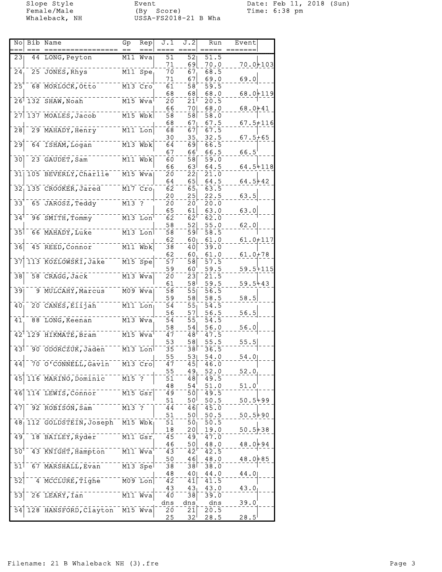Female/Male (By Score) Time: 6:38 pm Whaleback, NH USSA-FS2018-21 B Wha

Slope Style Event Date: Feb 11, 2018 (Sun)

|                                | No Bib Name                                            | Gp                 | Rep                                | J.1                        | J.2             | Run           | Event          |  |
|--------------------------------|--------------------------------------------------------|--------------------|------------------------------------|----------------------------|-----------------|---------------|----------------|--|
|                                |                                                        |                    |                                    |                            |                 |               |                |  |
| 231                            | 44 LONG, Peyton                                        |                    | M11 Wva                            | 51                         | $\overline{52}$ | 51.5          |                |  |
|                                |                                                        |                    |                                    | 71                         | 69              | 70.0          | $70.0 + 103$   |  |
| 24                             | 25 JONES, Rhys                                         |                    | $M11$ Spe                          | 70                         | 67              | 68.5          |                |  |
|                                |                                                        |                    |                                    | 71                         | 67              | 69.0          | 69.0           |  |
| $\overline{25}$                | 68 MORLOCK, Otto                                       |                    | M13 Cro                            | 61                         | 58              | 59.5          |                |  |
|                                |                                                        |                    |                                    | 68                         | 68              | 68.0          | 68.0+119       |  |
|                                | $26$ <sup><math>\overline{132}</math></sup> SHAW, Noah |                    | $M15$ Wva                          | $\bar{2}\bar{0}$           | 21              | 20.5          |                |  |
|                                |                                                        |                    |                                    | 66                         | 70              | 68.0          | $68.0 + 41$    |  |
| 27 <sub>1</sub>                | 137 MOALES, Jacob                                      |                    | $M15$ Wbk                          | 58                         | 58              | 58.0          |                |  |
|                                |                                                        |                    |                                    | 68                         | 67              | 67.5          | $67.5 + 116$   |  |
| $\overline{28}$                | 29 MAHADY, Henry                                       |                    | $M11$ Lon                          | 68                         | 67              | 67.5          |                |  |
|                                |                                                        |                    |                                    | 30                         | 35              | 32.5          | $67.5 + 65$    |  |
| $\overline{29}$                | 64 ISHAM, Logan                                        |                    | $M13$ $Wb$                         | $\bar{64}$                 | бō              | 66.5          |                |  |
|                                |                                                        |                    |                                    | 67                         | 66              | 66.5          | $66.5^{\circ}$ |  |
| 30                             | 23 GAUDET, Sam                                         |                    | M11 Wbk                            | 60                         | $\overline{58}$ | 59.0          |                |  |
|                                |                                                        |                    |                                    | 66                         | 63              | 64.5          | $64.5 + 118$   |  |
| $\overline{31}$                | 105 BEVERLY, Charlie                                   |                    | $M15$ Wva                          | 20                         | 22              | 21.0          |                |  |
|                                |                                                        |                    |                                    | 64                         | 65              | 64.5          | $64.5 + 42$    |  |
|                                | 32 135 CROOKER, Jared                                  |                    | $M17$ $Cro$                        | 62                         | 65              | 63.5          |                |  |
|                                |                                                        |                    |                                    | 20                         | 25              | 22.5          | 63.5           |  |
| $\bar{3}\bar{3}$               | 65 JAROSZ, Teddy                                       | $M13$ ?            |                                    | 20                         | 20              | 20.0          |                |  |
|                                |                                                        |                    |                                    | 65                         | 61              | 63.0          | 63.0           |  |
| $34$ <sup><math>-</math></sup> | 96 SMITH, Tommy                                        |                    | $M13$ Lon                          | $\overline{62}$            | ō2              | 62.0          |                |  |
|                                |                                                        |                    |                                    | 58                         | 52              | 55.0          | 62.0           |  |
| $\overline{35}$                | 66 MAHADY, Luke                                        |                    | $M13$ Lon                          | 58                         | 59              | 58.5          |                |  |
|                                |                                                        |                    |                                    | 62                         | 60 <sub>1</sub> | 61.0          | $61.0 + 117$   |  |
| $\overline{3}\overline{6}$     | 45 REED, Connor                                        |                    | $\overline{M11}$ $\overline{Wb}$ k | 38                         | 40              | 39.0          |                |  |
|                                |                                                        |                    |                                    |                            |                 |               |                |  |
| $\bar{3}\bar{7}$               |                                                        |                    |                                    | 62                         | 60              | 61.0          | $61.0 + 78$    |  |
|                                | 113 KOZLOWSKI, Jake                                    |                    | $M15$ Spe                          | $\overline{5}\overline{7}$ | 58              | 57.5          |                |  |
|                                |                                                        |                    |                                    | 59                         | 60              | 59.5          | 59.5+115       |  |
| 38                             | 58 CRAGG, Jack                                         |                    | $M13$ Wva                          | 20                         | $2\overline{3}$ | 21.5          |                |  |
|                                |                                                        |                    |                                    | 61                         | ا85             | 59.5          | $59.5 + 43$    |  |
| 39                             | 9 MULCAHY, Marcus                                      |                    | $M09$ $Wva$                        | $\bar{5}\bar{8}$           | 55              | $\bar{56}$ .5 |                |  |
|                                |                                                        |                    |                                    | 59                         | 58              | 58.5          | 58.5           |  |
| 40                             | 20 CANES, Elijah                                       |                    | $M11$ Lon                          | 54                         | 55              | 54.5          |                |  |
|                                |                                                        |                    |                                    | 56                         | 57              | 56.5          | 56.5           |  |
| 41                             | 88 LONG, Keenan                                        |                    | $M13$ Wva                          | 54                         | 55              | 54.5          |                |  |
|                                |                                                        |                    |                                    | 58                         | 54              | 56.0          | 56.0           |  |
| $42^{\circ}$                   | 129 HIKMATE, Bram                                      |                    | $M15$ $Wva$                        | $\bar{4}\bar{7}$           | 48              | $\bar{47.5}$  |                |  |
|                                |                                                        |                    |                                    | 53                         | 58              | 55.5          | 55.5           |  |
| 43                             | 90 ODORCZUK, Jaden                                     |                    | $M13$ Lon                          | $\bar{3}\bar{5}$           | 38              | 36.5          |                |  |
|                                |                                                        |                    |                                    | 55                         | 53              | 54.0          | 54.0           |  |
| 44                             | 70 O'CONNELL, Gavin                                    |                    | $M13$ Cro                          | 47                         | 45              | 46.0          |                |  |
|                                |                                                        |                    |                                    | 55                         | 49              | 52.0          | 52.0           |  |
| $\overline{45}$                | 116 MARINO, Dominic                                    | $\overline{M15}$ ? |                                    | $\bar{5}\bar{1}$           | 48              | 49.5          |                |  |
|                                |                                                        |                    |                                    | 48                         | 54              | 51.0          | 51.0           |  |
| 46                             | 114 LEWIS, Connor                                      |                    | $M15$ $Gsr$                        | 49                         | 50              | 49.5          |                |  |
|                                |                                                        |                    |                                    | 51                         | ا05             | 50.5          | $50.5 + 99$    |  |
| 47                             | 92 ROBISON, Sam                                        | $M13$ ?            |                                    | 44                         | 46              | 45.0          |                |  |
|                                |                                                        |                    |                                    | 51                         | 50              | 50.5          | $50.5 + 90$    |  |
|                                | 48 112 GOLDSTEIN, Joseph                               |                    | $M15$ Wbk                          | 51                         | 50              | 50.5          |                |  |
|                                |                                                        |                    |                                    | 18                         | 20              | 19.0          | $50.5 + 38$    |  |
| 49                             | 18 BAILEY, Ryder                                       |                    | $M11$ $Gsr$                        | 45                         | 49              | 47.0          |                |  |
|                                |                                                        |                    |                                    | 46                         | 50              | 48.0          | $48.0 + 94$    |  |
| 50 <sup>1</sup>                | 43 KNIGHT, Hampton                                     |                    | $\overline{M11}$ $\overline{W}$ va | 43                         | 42              | 42.5          |                |  |
|                                |                                                        |                    |                                    | 50                         | 46              | 48.0          | $48.0 + 85$    |  |
| $\bar{5}\bar{1}$               | 67 MARSHALL, Evan                                      |                    | $M13$ Spel                         | 38                         | 38 <sup>1</sup> | 38.0          |                |  |
|                                |                                                        |                    |                                    | 48                         | 40 <sub>1</sub> | 44.0          | 44.01          |  |
| $\overline{52}$                | 4 MCCLURE, Tighe                                       |                    | $M09$ Lon                          | 42                         | 41              | 41.5          |                |  |
|                                |                                                        |                    |                                    | 43                         | 43              | 43.0          | 43.0           |  |
| $\overline{53}$                | 26 LEARY, Ian                                          |                    | $\overline{M11}$ Wva               | $\bar{40}$                 | 38              | 39.0          |                |  |
|                                |                                                        |                    |                                    |                            |                 |               |                |  |
| 54                             | 128 HANSFORD, Clayton                                  |                    | $M15$ Wva                          | dns                        | dns             | dns<br>20.5   | 39.0           |  |
|                                |                                                        |                    |                                    | 20                         | 21              |               |                |  |
|                                |                                                        |                    |                                    | 25                         | $32^{\circ}$    | 28.5          | $28.5^{\circ}$ |  |